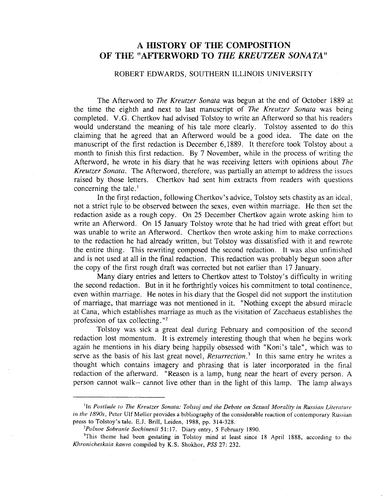## A HISTORY OF THE COMPOSITION OF THE "AFTERWORD TO THE KREUTZER SONATA"

## ROBERT EDWARDS, SOUTHERN ILLINOIS UNIVERSITY

The Afterword to *The Kreutzer Sonata* was begun at the end of October 1889 at the time the eighth and next to last manuscript of *The Kreutzer Sonata* was being completed. V.G. Chertkov had advised Tolstoy to write an Afterword so that his readers would understand the meaning of his tale more clearly. Tolstoy assented to do this claiming that he agreed that an Afterword would be a good idea. The date on the manuscript of the first redaction is December 6,1889. It therefore took Tolstoy about a month to finish this first redaction. By 7 November, while in the process of writing the Afterword, he wrote in his diary that he was receiving letters with opinions about *The Kreutzer Sonata.* The Afterword, therefore, was partially an attempt to address the issues raised by those letters. Chertkov had sent him extracts from readers with questions concerning the tale. $<sup>1</sup>$ </sup>

In the first redaction, following Chertkov's advice, Tolstoy sets chastity as an ideal, not a strict rule to be observed between the sexes, even within marriage. He then set the redaction aside as a rough copy. On 25 December Chertkov again wrote asking him to write an Afterword. On 15 January Tolstoy wrote that he had tried with great effort but was unable to write an Afterword. Chertkov then wrote asking him to make corrections to the redaction he had already written, but Tolstoy was dissatisfied with it and rewrote the entire thing. This rewriting composed the second redaction. It was also unfinished and is not used at all in the final redaction. This redaction was probably begun soon after the copy of the first rough draft was corrected but not earlier than 17 January.

Many diary entries and letters to Chertkov attest to Tolstoy's difficulty in writing the second redaction. But in it he forthrightly voices his commitment to total continence, even within marriage. He notes in his diary that the Gospel did not support the institution of marriage, that marriage was not mentioned in it. "Nothing except the absurd miracle at Cana, which establishes marriage as much as the visitation of Zacchaeus establishes the profession of tax collecting. "2

Tolstoy was sick a great deal during February and composition of the second redaction lost momentum. It is extremely interesting though that when he begins work again he mentions in his diary being happily obsessed with "Koni's tale", which was to serve as the basis of his last great novel, *Resurrection*.<sup>3</sup> In this same entry he writes a thought which contains imagery and phrasing that is later incorporated in the final redaction of the afterward. "Reason is a lamp, hung near the heart of every person. A person cannot walk-- cannot live other than in the light of this lamp. The lamp always

lIn *Postlude to The Kreutzer Sonata:* T~lstoj *and the Debate on Sexual Morality in Russian Literature in the 1890s*, Peter Ulf Møller provides a bibliography of the considerable reaction of contemporary Russian press to Tolstoy's tale. E.l. Brill, Leiden, 1988, pp. 314-328.

*<sup>2</sup>Pollloe Sobranie Sochinenii* 51: 17. Diary entry, 5 February 1890.

<sup>&</sup>lt;sup>3</sup>This theme had been gestating in Tolstoy mind at least since 18 April 1888, according to the *Khronicheskaia kanva* compiled by K.S. Shokhor, *PSS* 27: 232.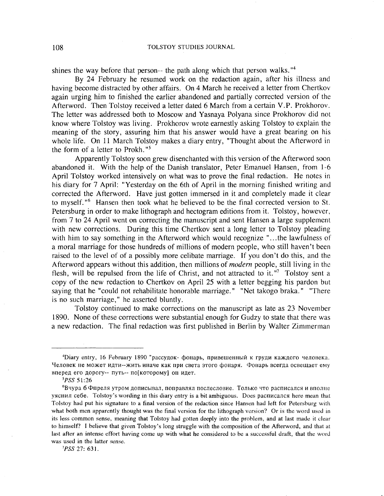shines the way before that person-- the path along which that person walks.  $44$ 

By 24 February he resumed work on the redaction again, after his illness and having become distracted by other affairs. On 4 March he received a letter from Chertkov again urging him to finished the earlier abandoned and partially corrected version of the Afterword. Then Tolstoy received a letter dated 6 March from a certain V.P. Prokhorov. The letter was addressed both to Moscow and Yasnaya Polyana since Prokhorov did not know where Tolstoy was living. Prokhorov wrote earnestly asking Tolstoy to explain the meaning of the story, assuring him that his answer would have a great bearing on his whole life. On 11 March Tolstoy makes a diary entry, "Thought about the Afterword in the form of a letter to Prokh."<sup>5</sup>

Apparently Tolstoy soon grew disenchanted with this version of the Afterword soon abandoned it. With the help of the Danish translator, Peter Emanuel Hansen, from 1-6 April Tolstoy worked intensively on what was to prove the final redaction. He notes in his diary for 7 April: "Yesterday on the 6th of April in the morning finished writing and corrected the Afterword. Have just gotten immersed in it and completely made it clear to myself."<sup>6</sup> Hansen then took what he believed to be the final corrected version to St. Petersburg in order to make lithograph and hectogram editions from it. Tolstoy, however, from 7 to 24 April went on correcting the manuscript and sent Hansen a large supplement with new corrections. During this time Chertkov sent a long letter to Tolstoy pleading with him to say something in the Afterword which would recognize "...the lawfulness of a moral marriage for those hundreds of millions of modern people, who still haven't been raised to the level of of a possibly more celibate marriage. If you don't do this, and the Afterword appears without this addition, then millions of *modern* people, still living in the flesh, will be repulsed from the life of Christ, and not attracted to it.  $\overline{n}$  Tolstoy sent a copy of the new redaction to Chertkov on April 25 with a letter begging his pardon but saying that he "could not rehabilitate honorable marriage." "Net takogo braka." "There is no such marriage," he asserted bluntly.

Tolstoy continued to make corrections on the manuscript as late as 23 November 1890. None of these corrections were substantial enough for Gudzy to state that there was a new redaction. The final redaction was first published in Berlin by Walter Zimmerman

*7PSS* 27: 631.

<sup>&</sup>lt;sup>4</sup>Diary entry, 16 February 1890 "рассудок- фонарь, привешенный к груди каждого человека. Человек не может идти--жить иначе как при света этого фонаря. Фонарь всегда освещает ему вперед его дорогу-- путь-- по[которому] он идет.

*<sup>5</sup>pSS* 51:26

 $6B$ чура б $\Phi$ преля утром дописывал, поправлял послесловие. Только что расписался и вполне yяснил себе. Tolstoy's wording in this diary entry is a bit ambiguous. Does расписался here mean that Tolstoy had put his signature to a final version of the redaction since Hansen had left for Petersburg with what both men apparently thought was the final version for the lithograph version? Or is the word used in its less common sense, meaning that Tolstoy had gotten deeply into the problem, and at last made it clear to himself? I believe that given Tolstoy's long struggle with the composition of the Afterword, and that at last after an intense effort having come up with what he considered to be a successful draft, that the word was used in the latter sense.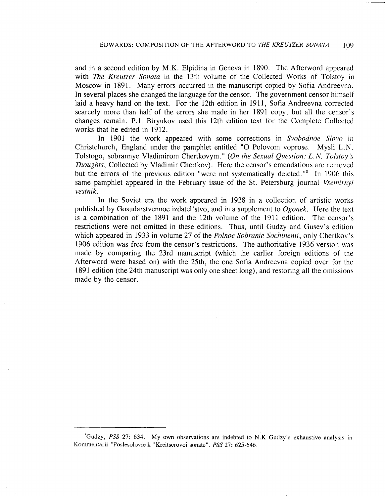and in a second edition by M.K. Elpidina in Geneva in 1890. The Afterword appeared with *The Kreutzer Sonata* in the 13th volume of the Collected Works of Tolstoy in Moscow in 1891. Many errors occurred in the manuscript copied by Sofia Andreevna. In several places she changed the language for the censor. The government censor himself laid a heavy hand on the text. For the 12th edition in 1911, Sofia Andreevna corrected scarcely more than half of the errors she made in her 1891 copy, but all the censor's changes remain. P.I. Biryukov used this 12th edition text for the Complete Collected works that he edited in 1912.

In 1901 the work appeared with some corrections in *Svobodnoe Slovo* in Christchurch, England under the pamphlet entitled "0 Polovom voprose. Mysli L.N. Tolstogo, sobrannye Vladimirom Chertkovym." *(On the Sexual Question: L. N. Tolstoy's Thoughts,* Collected by Vladimir Chertkov). Here the censor's emendations are removed but the errors of the previous edition "were not systematically deleted."<sup>8</sup> In 1906 this same pamphlet appeared in the February issue of the St. Petersburg journal *Vsemirnyi vestnik.*

In the Soviet era the work appeared in 1928 in a collection of artistic works published by Gosudarstvennoe izdatel'stvo, and in a supplement to *Ogonek.* Here the text is a combination of the 1891 and the 12th volume of the 1911 edition. The censor's restrictions were not omitted in these editions. Thus, until Gudzy and Gusev's edition which appeared in 1933 in volume 27 of the *Polnoe Sobranie Sochinenii*, only Chertkov's 1906 edition was free from the censor's restrictions. The authoritative 1936 version was made by comparing the 23rd manuscript (which the earlier foreign editions of the Afterword were based on) with the 25th, the one Sofia Andreevna copied over for the 1891 edition (the 24th manuscript was only one sheet long), and restoring all the omissions made by the censor.

<sup>8</sup>Gudzy, *PSS* 27: 634. My own observations are indebted to N.K Gudzy's exhaustive analysis in Kommentarii "Poslesolovie k "Kreitserovoi sonate". *PSS* 27: 625-646.